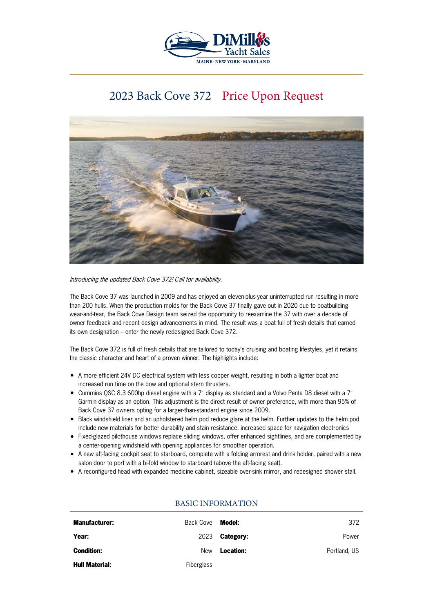

# 2023 Back Cove 372 Price Upon Request



Introducing the updated Back Cove 372! Call for availability.

The Back Cove 37 was launched in 2009 and has enjoyed an eleven-plus-year uninterrupted run resulting in more than 200 hulls. When the production molds for the Back Cove 37 finally gave out in 2020 due to boatbuilding wear-and-tear, the Back Cove Design team seized the opportunity to reexamine the 37 with over a decade of owner feedback and recent design advancements in mind. The result was a boat full of fresh details that earned its own designation – enter the newly redesigned Back Cove 372.

The Back Cove 372 is full of fresh details that are tailored to today's cruising and boating lifestyles, yet it retains the classic character and heart of a proven winner. The highlights include:

- A more efficient 24V DC electrical system with less copper weight, resulting in both a lighter boat and increased run time on the bow and optional stern thrusters.
- Cummins QSC 8.3 600hp diesel engine with a 7″ display as standard and a Volvo Penta D8 diesel with a 7″ Garmin display as an option. This adjustment is the direct result of owner preference, with more than 95% of Back Cove 37 owners opting for a larger-than-standard engine since 2009.
- Black windshield liner and an upholstered helm pod reduce glare at the helm. Further updates to the helm pod include new materials for better durability and stain resistance, increased space for navigation electronics
- Fixed-glazed pilothouse windows replace sliding windows, offer enhanced sightlines, and are complemented by a center-opening windshield with opening appliances for smoother operation.
- A new aft-facing cockpit seat to starboard, complete with a folding armrest and drink holder, paired with a new salon door to port with a bi-fold window to starboard (above the aft-facing seat).
- A reconfigured head with expanded medicine cabinet, sizeable over-sink mirror, and redesigned shower stall.

| <b>Manufacturer:</b>  | Back Cove  | Model:    | 372          |
|-----------------------|------------|-----------|--------------|
| Year:                 | 2023       | Category: | Power        |
| <b>Condition:</b>     | <b>New</b> | Location: | Portland, US |
| <b>Hull Material:</b> | Fiberglass |           |              |

## BASIC INFORMATION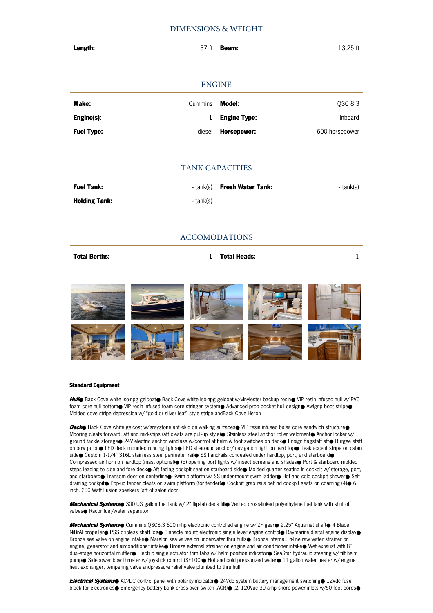**Length:** 37 ft **Beam:** 13.25 ft

#### ENGINE

| Make:             | Cummins | Model:              | OSC 8.3        |
|-------------------|---------|---------------------|----------------|
| Engine(s):        |         | <b>Engine Type:</b> | Inboard        |
| <b>Fuel Type:</b> | diesel  | Horsepower:         | 600 horsepower |

#### TANK CAPACITIES

| <b>Fuel Tank:</b>    |           | - tank(s) <b>Fresh Water Tank:</b> | - tank(s) |
|----------------------|-----------|------------------------------------|-----------|
| <b>Holding Tank:</b> | - tank(s) |                                    |           |

### ACCOMODATIONS

**Total Berths:** 1 **Total Heads:** 1



#### **Standard Equipment**

**Hull**● Back Cove white iso-npg gelcoat● Back Cove white iso-npg gelcoat w/vinylester backup resin● VIP resin infused hull w/ PVC foam core hull bottom● VIP resin infused foam core stringer system● Advanced prop pocket hull design● Awlgrip boot stripe● Molded cove stripe depression w/ "gold or silver leaf" style stripe andBack Cove Heron

**Deck**● Back Cove white gelcoat w/graystone anti-skid on walking surfaces● VIP resin infused balsa core sandwich structure● Mooring cleats forward, aft and mid-ships (aft cleats are pull-up style)● Stainless steel anchor roller weldment● Anchor locker w/ ground tackle storage● 24V electric anchor windlass w/control at helm & foot switches on deck● Ensign flagstaff aft● Burgee staff on bow pulpit● LED deck mounted running lights● LED all-around anchor/ navigation light on hard top● Teak accent stripe on cabin side● Custom 1-1/4" 316L stainless steel perimeter rail● SS handrails concealed under hardtop, port, and starboard● Compressed air horn on hardtop (mast optional)● (5) opening port lights w/ insect screens and shades● Port & starboard molded steps leading to side and fore deck● Aft facing cockpit seat on starboard side● Molded quarter seating in cockpit w/ storage, port, and starboard● Transom door on centerline● Swim platform w/ SS under-mount swim ladder● Hot and cold cockpit shower● Self draining cockpit● Pop-up fender cleats on swim platform (for tender)● Cockpit grab rails behind cockpit seats on coaming (4)● 6 inch, 200 Watt Fusion speakers (aft of salon door)

**Mechanical Systems**● 300 US gallon fuel tank w/ 2" flip-tab deck fill● Vented cross-linked polyethylene fuel tank with shut off valves● Racor fuel/water separator

**Mechanical Systems**● Cummins QSC8.3 600 mhp electronic controlled engine w/ ZF gear● 2.25'' Aquamet shaft● 4 Blade NiBrAl propeller● PSS dripless shaft log● Binnacle mount electronic single lever engine control● Raymarine digital engine display● Bronze sea valve on engine intake● Marelon sea valves on underwater thru hulls● Bronze internal, in-line raw water strainer on engine, generator and airconditioner intake● Bronze external strainer on engine and air conditioner intake● Wet exhaust with 8" dual-stage horizontal muffler● Electric single actuator trim tabs w/ helm position indicator● SeaStar hydraulic steering w/ tilt helm pump● Sidepower bow thruster w/ joystick control (SE100)● Hot and cold pressurized water● 11 gallon water heater w/ engine heat exchanger, tempering valve andpressure relief valve plumbed to thru hull

**Electrical Systems**● AC/DC control panel with polarity indicator● 24Vdc system battery management switching● 12Vdc fuse block for electronics● Emergency battery bank cross-over switch (ACR)● (2) 120Vac 30 amp shore power inlets w/50 foot cords●